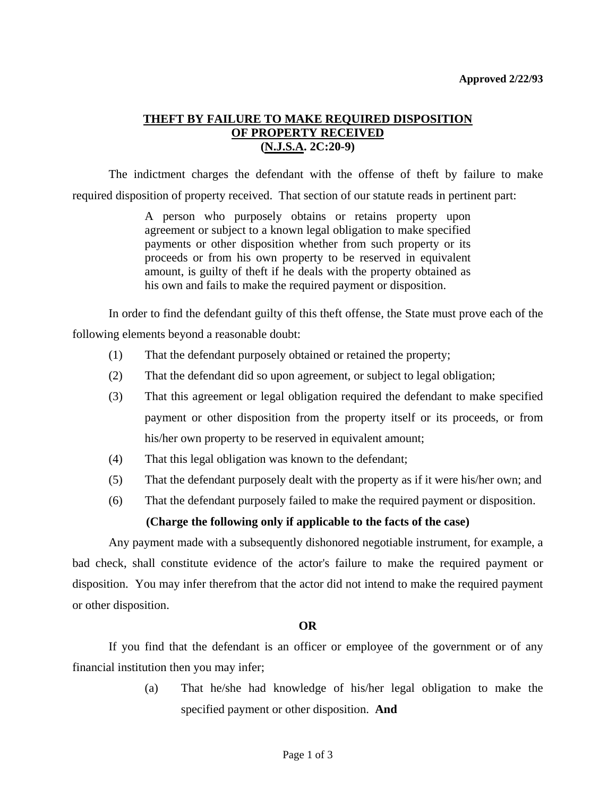# **THEFT BY FAILURE TO MAKE REQUIRED DISPOSITION OF PROPERTY RECEIVED (N.J.S.A. 2C:20-9)**

 The indictment charges the defendant with the offense of theft by failure to make required disposition of property received. That section of our statute reads in pertinent part:

> A person who purposely obtains or retains property upon agreement or subject to a known legal obligation to make specified payments or other disposition whether from such property or its proceeds or from his own property to be reserved in equivalent amount, is guilty of theft if he deals with the property obtained as his own and fails to make the required payment or disposition.

 In order to find the defendant guilty of this theft offense, the State must prove each of the following elements beyond a reasonable doubt:

- (1) That the defendant purposely obtained or retained the property;
- (2) That the defendant did so upon agreement, or subject to legal obligation;
- (3) That this agreement or legal obligation required the defendant to make specified payment or other disposition from the property itself or its proceeds, or from his/her own property to be reserved in equivalent amount;
- (4) That this legal obligation was known to the defendant;
- (5) That the defendant purposely dealt with the property as if it were his/her own; and
- (6) That the defendant purposely failed to make the required payment or disposition.

### **(Charge the following only if applicable to the facts of the case)**

 Any payment made with a subsequently dishonored negotiable instrument, for example, a bad check, shall constitute evidence of the actor's failure to make the required payment or disposition. You may infer therefrom that the actor did not intend to make the required payment or other disposition.

### **OR**

 If you find that the defendant is an officer or employee of the government or of any financial institution then you may infer;

> (a) That he/she had knowledge of his/her legal obligation to make the specified payment or other disposition. **And**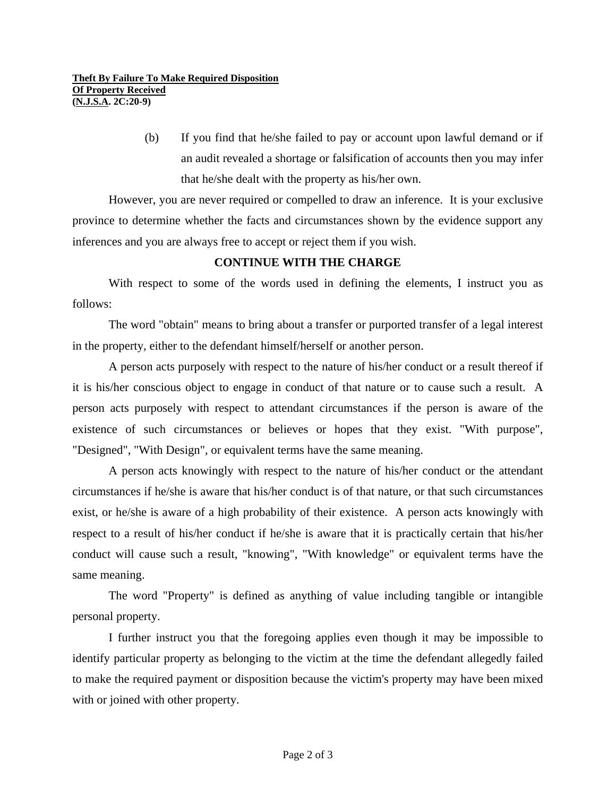(b) If you find that he/she failed to pay or account upon lawful demand or if an audit revealed a shortage or falsification of accounts then you may infer that he/she dealt with the property as his/her own.

 However, you are never required or compelled to draw an inference. It is your exclusive province to determine whether the facts and circumstances shown by the evidence support any inferences and you are always free to accept or reject them if you wish.

## **CONTINUE WITH THE CHARGE**

 With respect to some of the words used in defining the elements, I instruct you as follows:

 The word "obtain" means to bring about a transfer or purported transfer of a legal interest in the property, either to the defendant himself/herself or another person.

 A person acts purposely with respect to the nature of his/her conduct or a result thereof if it is his/her conscious object to engage in conduct of that nature or to cause such a result. A person acts purposely with respect to attendant circumstances if the person is aware of the existence of such circumstances or believes or hopes that they exist. "With purpose", "Designed", "With Design", or equivalent terms have the same meaning.

 A person acts knowingly with respect to the nature of his/her conduct or the attendant circumstances if he/she is aware that his/her conduct is of that nature, or that such circumstances exist, or he/she is aware of a high probability of their existence. A person acts knowingly with respect to a result of his/her conduct if he/she is aware that it is practically certain that his/her conduct will cause such a result, "knowing", "With knowledge" or equivalent terms have the same meaning.

 The word "Property" is defined as anything of value including tangible or intangible personal property.

 I further instruct you that the foregoing applies even though it may be impossible to identify particular property as belonging to the victim at the time the defendant allegedly failed to make the required payment or disposition because the victim's property may have been mixed with or joined with other property.